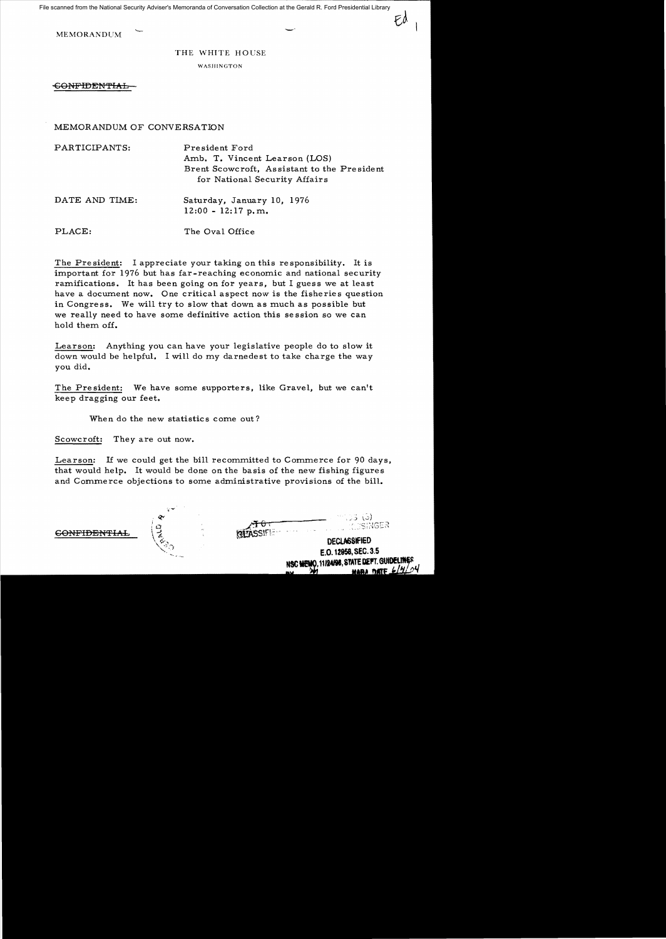File scanned from the National Security Adviser's Memoranda of Conversation Collection at the Gerald R. Ford Presidential Library

MEMORANDUM –

## THE WHITE HOUSE

WASHINGTON

<del>CONFIDENTIAL</del>

## MEMORANDUM OF CONVERSATION

| PARTICIPANTS:  | President Ford<br>Amb. T. Vincent Learson (LOS)<br>Brent Scowcroft, Assistant to the President<br>for National Security Affairs |
|----------------|---------------------------------------------------------------------------------------------------------------------------------|
| DATE AND TIME: | Saturday, January 10, 1976<br>$12:00 - 12:17$ p.m.                                                                              |
| PLACE:         | The Oval Office                                                                                                                 |

The President: I appreciate your taking on this responsibility. It is important for 1976 but has far-reaching economic and national security ramifications. It has been going on for years, but I guess we at least have a document now. One critical aspect now is the fisheries question in Congress. We will try to slow that down as much as possible but we really need to have some definitive action this se ssion so we can hold them off.

Learson: Anything you can have your legislative people do to slow it down would be helpful. I will do my darnedest to take charge the *way*  you did.

The President: We have some supporters, like Gravel, but we can't keep dragging our feet.

When do the new statistics come out?

Scowcroft: They are out now.

Learson: If we could get the bill recommitted to Commerce for 90 days, that would help. It would be done on the basis of the new fishing figures and Commerce objections to some administrative provisions of the bill.

GONFIDENTIAL

. J. 3 (3) **ALL ACCENGER** 

**DECLASSIFIED** E.O. 12958, SEC. 3.5 NSC MEMO, 11/24/98, STATE DEPT. GUIDELINES

Fd